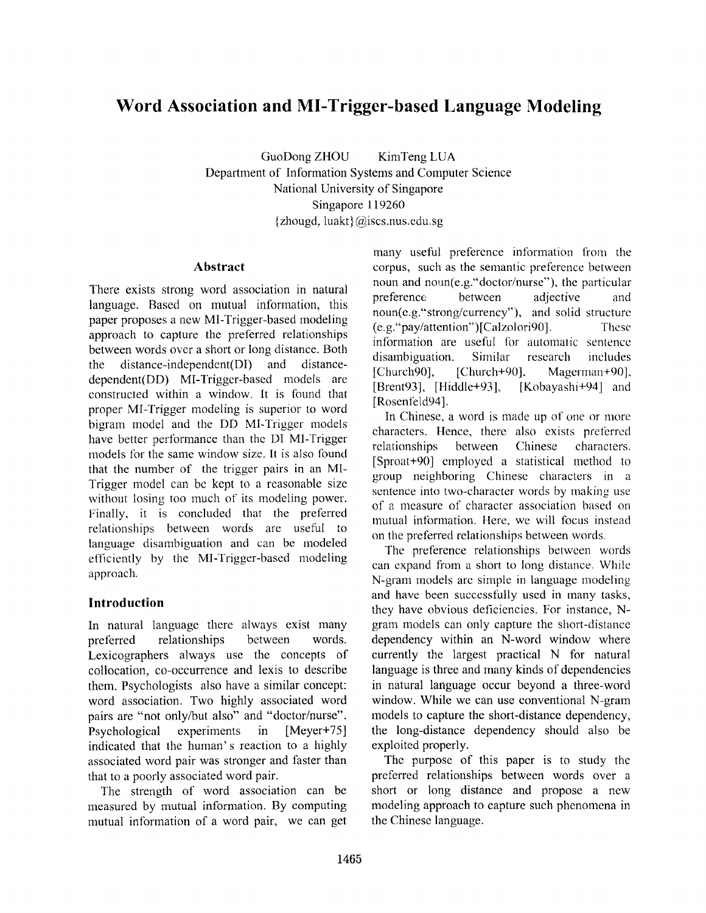# **Word Association and MI-Trigger-based Language Modeling**

GuoDong ZHOU KimTeng LUA Department of Information Systems and Computer Science National University of Singapore Singapore 119260 {zhougd, luakt} @iscs.nus.edu.sg

#### **Abstract**

There exists strong word association in natural language. Based on mutual information, this paper proposes a new MI-Trigger-based modeling approach to capture the preferred relationships between words over a short or long distance. Both the distance-independent(DI) and distancedependent(DD) MI-Trigger-based models are constructed within a window. It is found that proper MI-Trigger modeling is superior to word bigram model and the DD MI-Trigger models have better performance than the DI MI-Trigger models for the same window size. It is also found that the number of the trigger pairs in an MI-Trigger model can be kept to a reasonable size without losing too much of its modeling power. Finally, it is concluded that the preferred relationships between words are useful to language disambiguation and can be modeled efficiently by the MI-Trigger-based modeling approach.

# **Introduction**

In natural language there always exist many preferred relationships between words. Lexicographers always use the concepts of collocation, co-occurrence and lexis to describe them. Psychologists also have a similar concept: word association. Two highly associated word pairs are "not only/but also" and "doctor/nurse". Psychological experiments in [Meyer+75] indicated that the human's reaction to a highly associated word pair was stronger and faster than that to a poorly associated word pair.

The strength of word association can be measured by mutual information. By computing mutual information of a word pair, we can get many useful preference information from the corpus, such as the semantic preference between noun and noun(e.g."doctor/nurse"), the particular preference between adjective and noun(e.g."strong/currency"), and solid structure (e.g."pay/attention")[Calzolorig0]. These information are useful for automatic sentence disambiguation. Similar research includes [Church90], [Church+90], Magerman+90], [Brent93], [Hiddle+93]. [Kobayashi+94] and [Rosenfeld94].

In Chinese, a word is made up of one or more characters. Hence, there also exists preferred relationships between Chinese characters. [Sproat+90] employed a statistical method to group neighboring Chinese characters in a sentence into two-character words by making use of a measure of character association based on mutual information. Here, we will focus instead on the preferred relationships between words.

The preference relationships between words can expand from a short to long distance. While N-gram models are simple in language modeling and have been successfully used in many tasks, they have obvious deficiencies. For instance, Ngram models can only capture the short-distance dependency within an N-word window where currently the largest practical N for natural language is three and many kinds of dependencies in natural language occur beyond a three-word window. While we can use conventional N-gram models to capture the short-distance dependency, the long-distance dependency should also be exploited properly.

The purpose of this paper is to study the preferred relationships between words over a short or long distance and propose a new modeling approach to capture such phenomena in the Chinese language.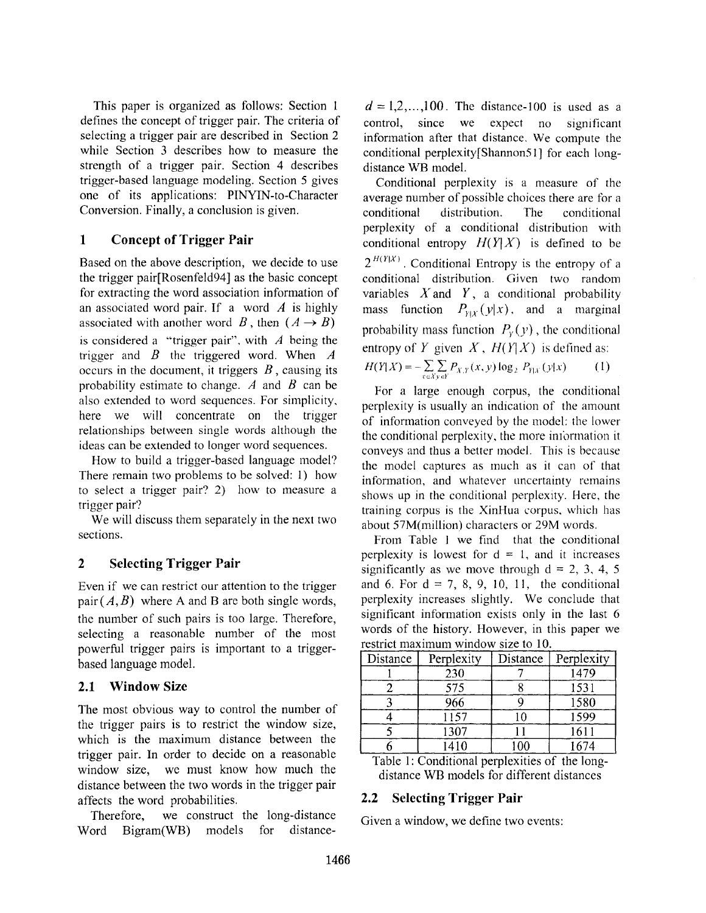This paper is organized as follows: Section I defines the concept of trigger pair. The criteria of selecting a trigger pair are described in Section 2 while Section 3 describes how to measure the strength of a trigger pair. Section 4 describes trigger-based language modeling. Section 5 gives one of its applications: PINYIN-to-Character Conversion. Finally, a conclusion is given.

# **1 Concept of Trigger Pair**

Based on the above description, we decide to use the trigger pair[Rosenfeld94] as the basic concept for extracting the word association information of an associated word pair. If a word  $\vec{A}$  is highly associated with another word B, then  $(A \rightarrow B)$ is considered a "trigger pair", with  $\vec{A}$  being the trigger and  $\hat{B}$  the triggered word. When  $\hat{A}$ occurs in the document, it triggers  $B$ , causing its probability estimate to change.  $\vec{A}$  and  $\vec{B}$  can be also extended to word sequences. For simplicity, here we will concentrate on the trigger relationships between single words although the ideas can be extended to longer word sequences.

How to build a trigger-based language model? There remain two problems to be solved: 1) how to select a trigger pair? 2) how to measure a trigger pair'?

We will discuss them separately in the next two sections.

# **2 Selecting Trigger Pair**

Even if we can restrict our attention to the trigger pair  $(A, B)$  where A and B are both single words, the number of such pairs is too large. Therefore, selecting a reasonable number of the most powerful trigger pairs is important to a triggerbased language model.

# **2.1 Window Size**

The most obvious way to control the number of the trigger pairs is to restrict the window size, which is the maximum distance between the trigger pair. In order to decide on a reasonable window size, we must know how much the distance between the two words in the trigger pair affects the word probabilities.

Therefore, we construct the long-distance Word Bigram(WB) models for distance-

 $d = 1,2,...,100$ . The distance-100 is used as a control, since we expect no significant information after that distance, We compute the conditional perplexity[Shannon51] for each longdistance WB model.

Conditional perplexity is a measure of the average number of possible choices there are for a conditional distribution. Fhe conditional perplexity of a conditional distribution with conditional entropy  $H(Y|X)$  is defined to be  $2^{H(Y|X)}$ . Conditional Entropy is the entropy of a conditional distribution. Given two random variables  $X$  and  $Y$ , a conditional probability mass function  $P_{Y|X}(y|x)$ , and a marginal probability mass function  $P_y(y)$ , the conditional entropy of Y given  $X$ ,  $H(Y|X)$  is defined as:  $H(Y|X) = -\sum_{x \in X} \sum_{y \in Y} P_{X,Y}(x, y) \log_2 P_{Y|X}(y|x)$  (1)

For a large enough corpus, the conditional perplexity is usually an indication of the amount of information conveyed by the model: the lower the conditional perplexity, the more inlbrmation it conveys and thus a better model. This is because the model captures as much as it can of that information, and whatever uncertainty remains shows up in the conditional perplexity. Here, the training corpus is the XinHua corpus, which has about 57M(million) characters or 29M words.

From Table 1 we find that the conditional perplexity is lowest for  $d = 1$ , and it increases significantly as we move through  $d = 2, 3, 4, 5$ and 6. For  $d = 7, 8, 9, 10, 11$ , the conditional perplexity increases slightly. We conclude that significant information exists only in the last 6 words of the history. However, in this paper we restrict maximum window size to 10.

| Distance | Perplexity | Distance | Perplexity |
|----------|------------|----------|------------|
|          | 230        |          | 1479       |
|          | 575        |          | 1531       |
|          | 966        |          | 1580       |
|          | 1157       |          | 1599       |
|          | 1307       |          | 1611       |
|          | 1410       | -00      | 1674       |

Table 1: Conditional perplexities of the longdistance WB models for different distances

# **2.2 Selecting Trigger Pair**

Given a window, we define two events: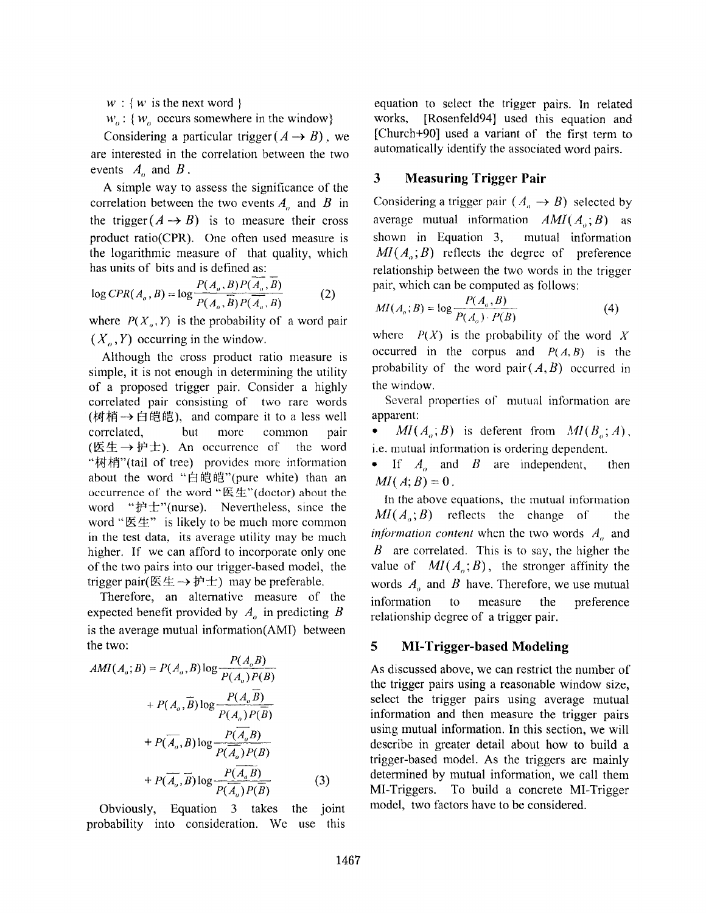$w : \{w \text{ is the next word }\}$ 

 $w_o$ : {  $w_o$  occurs somewhere in the window}

Considering a particular trigger  $(A \rightarrow B)$ , we are interested in the correlation between the two events  $A_n$  and  $B$ .

A simple way to assess the significance of the correlation between the two events  $A_n$  and  $B$  in the trigger  $(A \rightarrow B)$  is to measure their cross product ratio(CPR). One often used measure is the logarithmic measure of that quality, which has units of bits and is defined as:

$$
\log CPR(A_o, B) = \log \frac{P(A_o, B)P(A_o, B)}{P(A_o, B)P(A_o, B)}
$$
(2)

where  $P(X_0, Y)$  is the probability of a word pair  $(X_{\alpha}, Y)$  occurring in the window.

Although the cross product ratio measure is simple, it is not enough in determining the utility of a proposed trigger pair. Consider a highly correlated pair consisting of two rare words (树梢→白皑皑), and compare it to a less well correlated, but more common pair ( $\mathbb{E} \nleftrightarrow \mathbb{P}$   $\pm$ ). An occurrence of the word "树梢"(tail of tree) provides more information about the word "白皑皑" (pure white) than an occurrence of the word " $(E#''(dotor))$  about the word " $# \pm$ "(nurse). Nevertheless, since the word " $\&\&\text{r}$ " is likely to be much more common in the test data, its average utility may be much higher. If we can afford to incorporate only one of the two pairs into our trigger-based model, the trigger pair( $(E \pm \rightarrow \mathcal{P} \pm)$  may be preferable.

Therefore, an alternative measure of the expected benefit provided by  $A<sub>o</sub>$  in predicting B is the average mutual information(AMI) between the two:

$$
AMI(A_o; B) = P(A_o, B) \log \frac{P(A_o, B)}{P(A_o)P(B)}
$$
  
+  $P(A_o, \overline{B}) \log \frac{P(A_o, \overline{B})}{P(A_o)P(\overline{B})}$   
+  $P(\overline{A_o}, B) \log \frac{P(\overline{A_o}, B)}{P(\overline{A_o})P(B)}$   
+  $P(\overline{A_o}, \overline{B}) \log \frac{P(\overline{A_o}, B)}{P(\overline{A_o})P(\overline{B})}$  (3)

Obviously, Equation 3 takes the joint probability into consideration. We use this equation to select the trigger pairs. In related works, [Rosenfeld94] used this equation and [Church+90] used a variant of the first term to automatically identify the associated word pairs.

#### **3 Measuring Trigger Pair**

Considering a trigger pair  $(A_n \rightarrow B)$  selected by average mutual information  $AMI(A_0; B)$  as shown in Equation 3, mutual information  $MI(A_{a};B)$  reflects the degree of preference relationship between the two words in the trigger pair, which can be computed as follows:

$$
MI(Aa; B) = \log \frac{P(Aa, B)}{P(Aa) \cdot P(B)}
$$
(4)

where  $P(X)$  is the probability of the word X occurred in the corpus and  $P(A, B)$  is the probability of the word pair $(A, B)$  occurred in the window.

Several properties of mutual information are apparent:

•  $MI(A_o; B)$  is deferent from  $MI(B_o; A)$ , i.e. mutual information is ordering dependent.

• If  $A_{\alpha}$  and  $B$  are independent, then  $MI(A; B) = 0$ .

In the above equations, the mutual information  $MI(A_{\alpha};B)$  reflects the change of the *information content* when the two words  $A_{\alpha}$  and  $B$  are correlated. This is to say, the higher the value of  $MI(A_a;B)$ , the stronger affinity the words  $A<sub>a</sub>$  and  $B$  have. Therefore, we use mutual information to measure the preference relationship degree of a trigger pair.

### **5 MI-Trigger-based Modeling**

As discussed above, we can restrict the number of the trigger pairs using a reasonable window size, select the trigger pairs using average mutual information and then measurc the trigger pairs using mutual information. In this section, we will describe in greater detail about how to build a trigger-based model. As the triggers are mainly determined by mutual information, we call them MI-Triggers. To build a concrete MI-Trigger model, two factors have to be considered.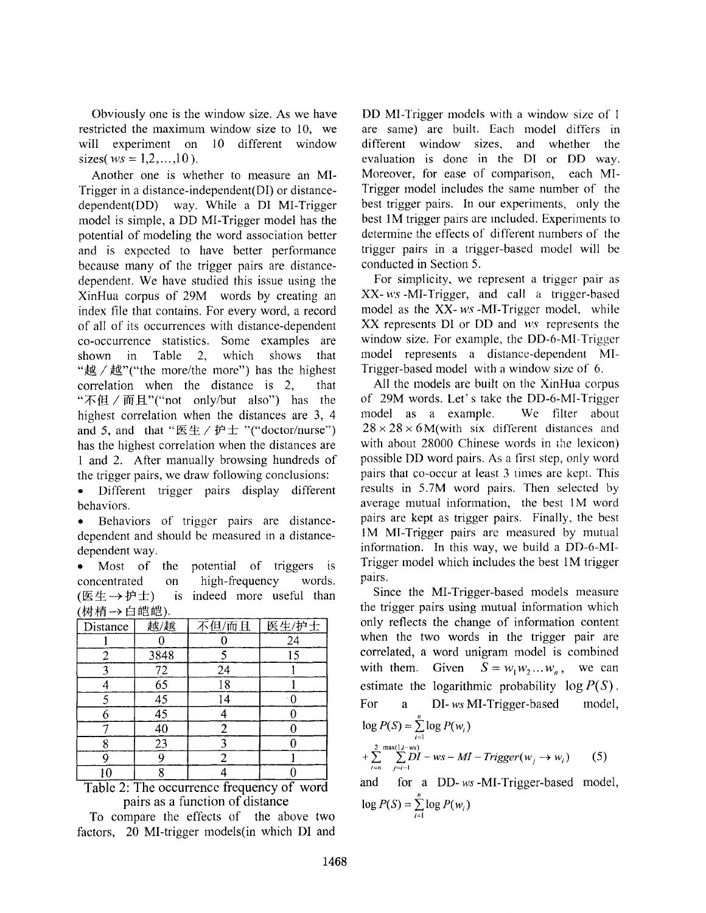Obviously one is the window size. As we have restricted the maximum window size to 10, we will experiment on 10 different window sizes( $ws = 1, 2, ..., 10$ ).

Another one is whether to measure an MI-Trigger in a distance-independent(DI) or distancedependent(DD) way. While a DI MI-Trigger model is simple, a DD MI-Trigger model has the potential of modeling the word association better and is expected to have better performance because many of the trigger pairs are distancedependent. We have studied this issue using the XinHua corpus of 29M words by creating an index file that contains. For every word, a record of all of its occurrences with distance-dependent co-occurrence statistics. Some examples are shown in Table 2, which shows that "越/越"("the more/the more") has the highest correlation when the distance is 2, that "不但 / 而且"("not only/but also") has the highest correlation when the distances are 3, 4 and 5, and that " $E \not\equiv / \nleftrightarrow E$ "("doctor/nurse") has the highest correlation when the distances are 1 and 2. After manually browsing hundreds of the trigger pairs, we draw following conclusions:

• Different trigger pairs display different behaviors.

• Behaviors of trigger pairs are distancedependent and should be measured in a distancedependent way.

• Most of the potential of triggers is concentrated on high-frequency words. (医生 $\rightarrow$  护士) is indeed more useful than (树梢→白皑皑).

| 7.6.4.114 |                 |       |       |
|-----------|-----------------|-------|-------|
| Distance  | 越/越             | 不但/而且 | 医生/护士 |
|           |                 |       | 24    |
| 2         | 3848            |       | 15    |
|           | 72              | 24    |       |
|           | $\overline{65}$ | 18    |       |
|           | 45              | 14    |       |
|           | $\overline{45}$ |       |       |
|           | 40              |       |       |
| 8         | 23              |       |       |
| C         | 9               |       |       |
|           |                 |       |       |

Table 2: The occurrence frequency of word pairs as a function of distance

To compare the effects of the above two factors, 20 MI-trigger models(in which DI and

DD MI-Trigger models with a window size of I are same) are built. Each model differs in different window sizes, and whether the evaluation is done in the D! or DD way. Moreover, for ease of comparison, each MI-Trigger model includes the same number of the best trigger pairs. In our experiments, only the best 1M trigger pairs are included. Experiments to determine the effects of different numbers of the trigger pairs in a trigger-based model will be conducted in Section 5.

For simplicity, we represent a trigger pair as XX-ws-MI-Trigger, and call a trigger-based model as the XX-ws-MI-Trigger model, while XX represents D1 or DD and *ws* represents the window size. For example, the DD-6-MI-Trigger model represents a distance-dependent Ml-Trigger-based model with a window size of 6.

All the models are built on the XinHua corpus of 29M words. Let' s take the DD-6-MI-Trigger model as a example. We filter about  $28 \times 28 \times 6$ M(with six different distances and with about 28000 Chinese words in the lexicon) possible DD word pairs. As a first step, only word pairs that co-occur at least 3 times are kept. This results in 5.7M word pairs. Then selected by average mutual information, the best 1M word pairs are kept as trigger pairs. Finally, the best 1M MI-Trigger pairs are measured by mutual information. In this way, we build a DD-6-MI-Trigger model which includes the best 1M trigger pairs.

Since the MI-Trigger-based models measure the trigger pairs using mutual information which only reflects the change of information content when the two words in the trigger pair are correlated, a word unigram model is combined with them. Given  $S = w_1 w_2 ... w_n$ , we can estimate the logarithmic probability  $log P(S)$ . For a DI- ws MI-Trigger-based model,  $log P(S) = \sum_{i=1}^{n} log P(w_i)$  $+\sum_{i=n}^{2} \sum_{j=i-1}^{\max(1,i-ws)} DI-ws-MI-Trigger(w_j \rightarrow w_i)$  (5) and for a DD-ws-MI-Trigger-based model,

$$
\log P(S) = \sum_{i=1}^{n} \log P(w_i)
$$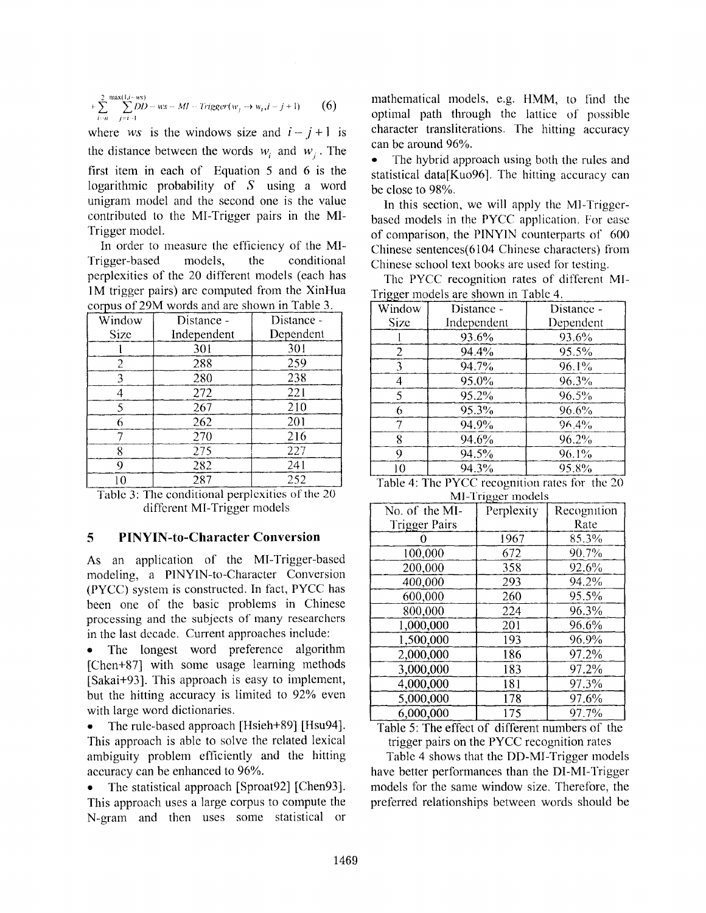$$
+\sum_{i=n}^{2}\sum_{j=i-1}^{\max(1,i-ws)}DD-ws-MI-Trigger(w_j\rightarrow w_i,i-j+1)
$$
 (6)

where ws is the windows size and  $i-j+1$  is the distance between the words  $w_i$  and  $w_j$ . The first item in each of Equation 5 and 6 is the logarithmic probability of S using a word unigram model and the second one is the value contributed to the MI-Trigger pairs in the MI-Trigger model.

In order to measure the efficiency of the MI-Trigger-based models, the conditional perplexities of the 20 different models (each has 1M trigger pairs) are computed from the XinHua corpus of 29M words and are shown in Table 3.

| Window      | Distance -  | Distance - |
|-------------|-------------|------------|
| <b>Size</b> | Independent | Dependent  |
|             | 301         | 301        |
| 2           | 288         | 259        |
| 3           | 280         | 238        |
|             | 272         | 221        |
| 5           | 267         | 210        |
| 6           | 262         | 201        |
|             | 270         | 216        |
| 8           | 275         | 227        |
| 9           | 282         | 241        |
| $\Omega$    | 287         | 252        |

Table 3: The conditional perplexities of the 20 different MI-Trigger models

### **5 PINYIN-to-Character Conversion**

As an application of the MI-Trigger-based modeling, a PINYIN-to-Character Conversion (PYCC) system is constructed. In fact, PYCC has been one of the basic problems in Chinese processing and the subjects of many researchers in the last decade. Current approaches include:

The longest word preference algorithm [Chen+87] with some usage learning methods [Sakai+93]. This approach is easy to implement, but the hitting accuracy is limited to 92% even with large word dictionaries.

• The rule-based approach [Hsieh+89] [Hsu94]. This approach is able to solve the related lexical ambiguity problem efficiently and the hitting accuracy can be enhanced to 96%.

• The statistical approach [Sproat92] [Chen93]. This approach uses a large corpus to compute the N-gram and then uses some statistical or mathematical models, e.g. HMM, to find the optimal path through the lattice of possible character transliterations. The hitting accuracy can be around 96%.

The hybrid approach using both the rules and statistical data[Kuo96]. The hitting accuracy can be close to 98%.

In this section, we will apply the Ml-Triggerbased models in the PYCC application. For ease of comparison, the P1NYIN counterparts of 600 Chinese sentences(6104 Chinese characters) from Chinese school text books are used for testing.

The PYCC recognition rates of different MI-Trigger models are shown in Table 4.

| تنط<br>Window | Distance -  | Distance - |
|---------------|-------------|------------|
| Size          | Independent | Dependent  |
|               | 93.6%       | 93.6%      |
| 2             | 94.4%       | 95.5%      |
| 3             | 94.7%       | 96.1%      |
| 4             | 95.0%       | $96.3\%$   |
| 5             | 95.2%       | 96.5%      |
| 6             | 95.3%       | 96.6%      |
| 7             | 94.9%       | 96.4%      |
| 8             | 94.6%       | 96.2%      |
| 9             | 94.5%       | 96.1%      |
| 10            | 94.3%       | 95.8%      |

| Table 4: The PYCC recognition rates for the 20 |                   |  |
|------------------------------------------------|-------------------|--|
|                                                | MI-Trigger models |  |

| $\ldots$             |            |             |  |
|----------------------|------------|-------------|--|
| No. of the MI-       | Perplexity | Recognition |  |
| <b>Trigger Pairs</b> |            | Rate        |  |
|                      | 1967       | 85.3%       |  |
| 100,000              | 672        | 90.7%       |  |
| 200,000              | 358        | 92.6%       |  |
| 400,000              | 293        | 94.2%       |  |
| 600,000              | 260        | 95.5%       |  |
| 800,000              | 224        | 96.3%       |  |
| 1,000,000            | 201        | 96.6%       |  |
| 1,500,000            | 193        | 96.9%       |  |
| 2,000,000            | 186        | 97.2%       |  |
| 3,000,000            | 183        | 97.2%       |  |
| 4,000,000            | 181        | 97.3%       |  |
| 5,000,000            | 178        | 97.6%       |  |
| 6,000,000            | 175        | 97.7%       |  |

Table 5: The effect of different numbers of the trigger pairs on the PYCC recognition rates

Table 4 shows that the DD-Ml-Trigger models have better performances than the DI-MI-Trigger models for the same window size. Therefore, the preferred relationships between words should be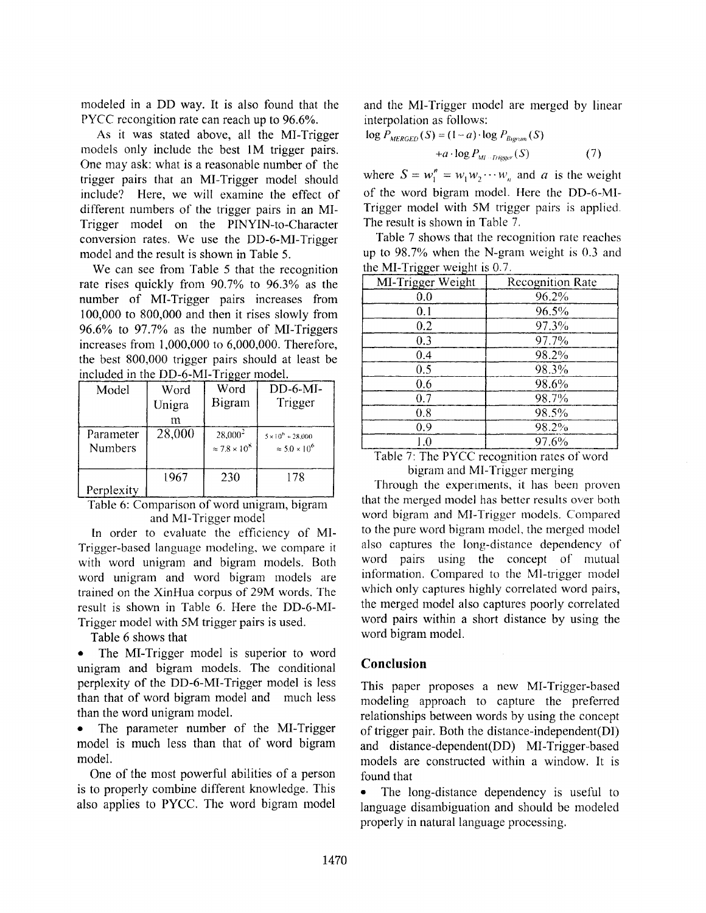modeled in a DD way. It is also found that the PYCC recongition rate can reach up to 96.6%.

As it was stated above, all the MI-Trigger models only include the best IM trigger pairs. One may ask: what is a reasonable number of the trigger pairs that an MI-Trigger model should include? Here, we will examine the effect of different numbers of the trigger pairs in an MI-Trigger model on the PINYIN-to-Character conversion rates. We use the DD-6-MI-Trigger model and the result is shown in Table 5.

We can see from Table 5 that the recognition rate rises quickly from 90.7% to 96.3% as the number of MI-Trigger pairs increases from 100,000 to 800,000 and then it rises slowly from 96.6% to 97.7% as the number of MI-Triggers increases from 1,000,000 to 6,000,000. Therefore, the best 800,000 trigger pairs should at least be included in the DD-6-MI-Trigger model.

| Model                       | Word<br>Unigra<br>m | Word<br>Bigram                          | $DD-6-MI-$<br>Trigger                                   |
|-----------------------------|---------------------|-----------------------------------------|---------------------------------------------------------|
| Parameter<br><b>Numbers</b> | 28,000              | $28,000^2$<br>$\approx 7.8 \times 10^8$ | $5 \times 10^{6} + 28,000$<br>$\approx 5.0 \times 10^6$ |
| Perplexity                  | 1967                | 230                                     | 178                                                     |

Table 6: Comparison of word umgram, bigram and MI-Trigger model

In order to evaluate the efficiency of MI-Trigger-based language modeling, we compare it with word unigram and bigram models. Both word unigram and word bigram models are trained on the XinHua corpus of 29M words. The result is shown in Table 6. Here the DD-6-MI-Trigger model with 5M trigger pairs is used.

Table 6 shows that

• The MI-Trigger model is superior to word unigram and bigram models. The conditional perplexity of the DD-6-MI-Trigger model is less than that of word bigram model and much less than the word unigram model.

The parameter number of the MI-Trigger model is much less than that of word bigram model.

One of the most powerful abilities of a person is to properly combine different knowledge. This also applies to PYCC. The word bigram model and the MI-Yrigger model are merged by linear interpolation as follows:

$$
\log P_{MERGED}(S) = (1 - a) \cdot \log P_{Byram}(S)
$$
  
+ $a \cdot \log P_{Ml \sim Figure}(S)$  (7)

where  $S = w_1^n = w_1 w_2 \cdots w_n$  and *a* is the weight of the word bigram model. Here the DD-6-MI-Trigger model with 5M trigger pairs is applied. The result is shown in Table 7,

Table 7 shows that the recognition rate reaches up to 98.7% when the N-gram weight is 0.3 and the MI-Trigger weight is  $0.7<sub>1</sub>$ 

| MI-Trigger Weight | <b>Recognition Rate</b> |
|-------------------|-------------------------|
| 0.0               | 96.2%                   |
| 0.1               | 96.5%                   |
| 0.2               | 97.3%                   |
| 0.3               | 97.7%                   |
| 0.4               | 98.2%                   |
| 0.5               | 98.3%                   |
| 0.6               | 98.6%                   |
| 0.7               | 98.7%                   |
| 0.8               | 98.5%                   |
| 0.9               | 98.2%                   |
| $_{\rm 1.0}$      | 97.6%                   |

Table 7: The PYCC recognition rates of word bigram and M1-Trigger merging

Through the experiments, it has been proven that the merged model has better results over both word bigram and M1-Trigger models. Compared to the pure word bigram model, the merged model also captures the long-distance dependency of word pairs using the concept of mutual information. Compared to the Ml-trigger model which only captures highly correlated word pairs, the merged model also captures poorly correlated word pairs within a short distance by using the word bigram model.

# **Conclusion**

This paper proposes a new MI-Trigger-based modeling approach to capture the preferred relationships between words by using the concept of trigger pair. Both the distance-independent(D1) and distance-dependent(DD) MI-Trigger-based models are constructed within a window. It is found that

The long-distance dependency is useful to language disambiguation and should be modeled properly in natural language processing.